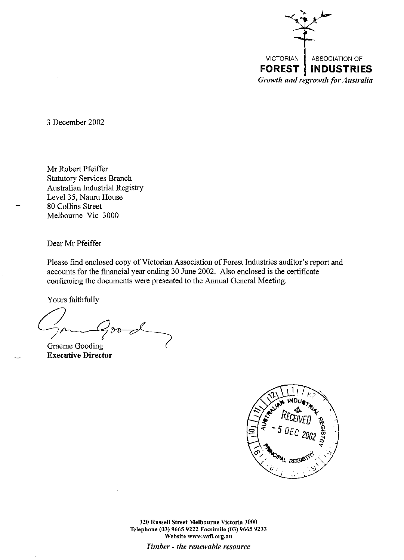

3 December 2002

Mr Robert Pfeiffer Statutory Services Branch Australian Industrial Registry Level 35, Nauru House 80 Collins Street Melbourne Vic 3000

Dear Mr Pfeiffer

Please find enclosed copy of Victorian Association of Forest Industries auditor's report and accounts for the financial year ending 30 June 2002. Also enclosed is the certificate confirming the documents were presented to the Annual General Meeting.

Yours faithfully

Gam Good  $\gamma$ A

**Executive Director** 



320 Russell Street Melbourne Victoria 3000 Telephone (03) 9665 9222 Facsimile (03) 9665 9233 **Website www.vafi.org.au**  *Timber* - *the renewable resource*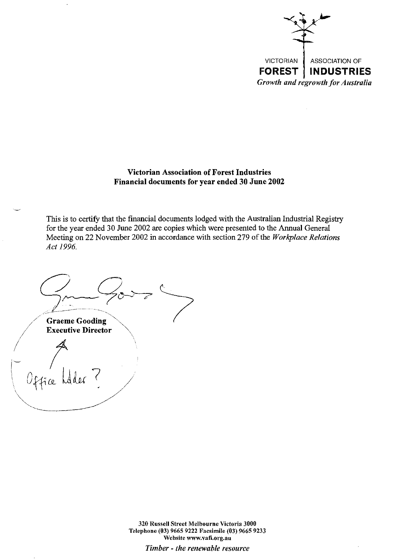

## **Victorian Association of Forest Industries Financial documents for year ended 30 June 2002**

This is to certify that the financial documents lodged with the Australian Industrial Registry for the year ended 30 June 2002 are copies which were presented to the Annual General Meeting on 22 November 2002 in accordance with section 279 of the *Workplace Relations Act 1996.* 

 $G_{\sim}G_{\sim}$ **Graeme Gooding Executive Director**  $0$ ffice

320 Russell Street Melbourne Victoria 3000 Telephone (03) 9665 9222 Facsimile (03) 9665 9233 **Website www.vafi.org.au** 

*Timber* - *the renewable resource*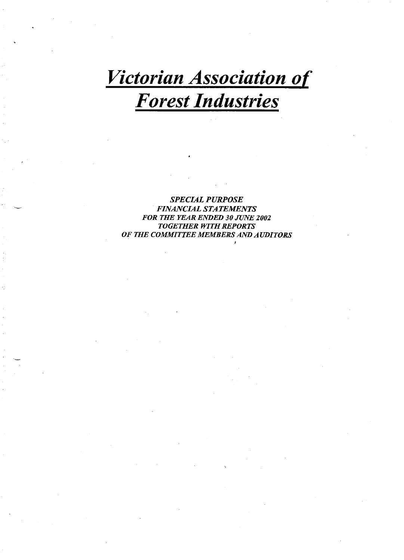# *Victorian Association of Forest Industries*

*SPECIAL PURPOSE FINANCIAL STATEMENTS FOR THE YEAR ENDED 30 JUNE 2002 TOGETHER WITH REPORTS OF THE COMMITTEE MEMBERS AND AUDITORS*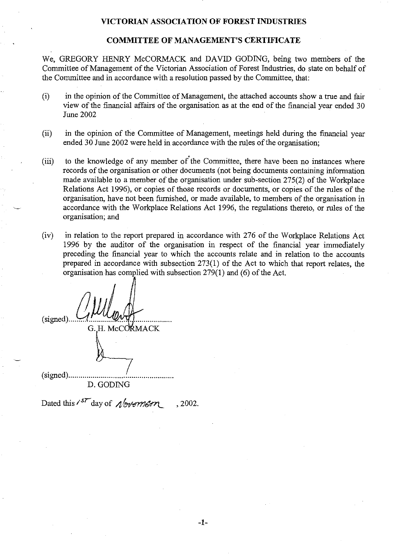## **COMMITTEE OF MANAGEMENT'S CERTIFICATE**

We, GREGORY HENRY McCORMACK and DAVID GODING, being two members of the Committee of Management of the Victorian Association of Forest Industries, do state on behalf of the Committee and in accordance with a resolution passed by the Committee, that:

- (i) in the opinion of the Committee of Management, the attached accounts show a true and fair view of the financial affairs of the organisation as at the end of the financial year ended 30 June2002
- (ii) in the opinion of the Committee of Management, meetings held during the financial year ended 30 June 2002 were held in accordance with the rules of the organisation;
- (iii) to the knowledge of any member of the Committee, there have been no instances where records of the organisation or other documents (not being documents containing information made available to a member of the organisation under sub-section 275(2) of the Workplace Relations Act 1996), or copies of those records or documents, or copies of the rules of the organisation, have not been furnished, or made available, to members of the organisation in accordance with the Workplace Relations Act 1996, the regulations thereto, or rules of the organisation; and
- (iv) in relation to the report prepared in accordance with 276 of the Workplace Relations Act 1996 by the auditor of the organisation in respect of the financial year immediately preceding the financial year to which the accounts relate and in relation to the accounts prepared in accordance with subsection 273(1) of the Act to which that report relates, the organisation has complied with subsection  $279(1)$  and (6) of the Act.

(signed). G. H. McCORMACK (signed) ................................................... .

D. GODING

Dated this  $i^{57}$  day of  $\Lambda/m$ 87m . 2002.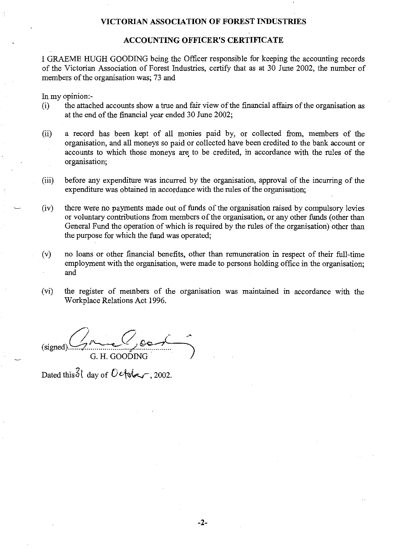## **ACCOUNTING OFFICER'S CERTIFICATE**

I GRAEME HUGH GOODING being the Officer responsible for keeping the accounting records of the Victorian Association of Forest Industries, certify that as at 30 June 2002, the number of members of the organisation was; 73 and

In my opinion:-

- (i) the attached accounts show a true and fair view of the financial affairs of the organisation as at the end of the financial year ended 30 June 2002;
- (ii) a record has been kept of all monies paid by, or collected from, members of the organisation, and all moneys so paid or collected have been credited to the bank account or accounts to which those moneys are to be credited, in accordance with the rules of the organisation;
- (iii) before any expenditure was incurred· by the organisation, approval of the incurring of the expenditure was obtained in accordance with the rules of the organisation;
- (iv) there were no payments made out of funds of the organisation raised by compulsory levies or voluntary contributions from members of the organisation, or any other funds (other than General Fund the operation of which is required by the rules of the organisation) other than the purpose for which the fund was operated;
- (v) no loans or other financial benefits, other than remuneration in respect of their full-time employment with the organisation, were made to persons holding office in the organisation; and
- (vi) the register of members of the organisation was maintained m accordance with the Workplace Relations Act 1996.

(signed).a~~s.~~ G. H. GOODING ... *}* 

Dated this  $31$  day of  $0$  efster, 2002.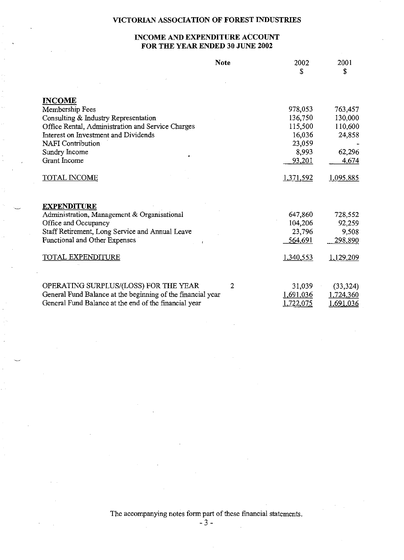## **INCOME AND EXPENDITURE ACCOUNT FOR THE YEAR ENDED 30 JUNE 2002**

|                                                             | <b>Note</b> | 2002<br>S        | 2001<br>\$ |
|-------------------------------------------------------------|-------------|------------------|------------|
|                                                             |             |                  |            |
| <b>INCOME</b>                                               |             |                  |            |
| Membership Fees                                             |             | 978,053          | 763.457    |
| Consulting & Industry Representation                        |             | 136,750          | 130,000    |
| Office Rental, Administration and Service Charges           |             | 115,500          | 110,600    |
| Interest on Investment and Dividends                        |             | 16,036           | 24,858     |
| <b>NAFI</b> Contribution                                    |             | 23,059           |            |
| Sundry Income                                               |             | 8,993            | 62,296     |
| <b>Grant Income</b>                                         |             | <u>93,201</u>    | 4.674      |
| <b>TOTAL INCOME</b>                                         |             | 1,371,592        | 1,095,885  |
| <b>EXPENDITURE</b>                                          |             |                  |            |
| Administration, Management & Organisational                 |             | 647,860          | 728,552    |
| Office and Occupancy                                        |             | 104,206          | 92,259     |
| Staff Retirement, Long Service and Annual Leave             |             | 23,796           | 9,508      |
| Functional and Other Expenses                               |             | 564,691          | 298,890    |
| TOTAL EXPENDITURE                                           |             | 1,340,553        | 1,129,209  |
| OPERATING SURPLUS/(LOSS) FOR THE YEAR                       | 2           | 31,039           | (33, 324)  |
| General Fund Balance at the beginning of the financial year |             | 1,691,036        | 1,724,360  |
| General Fund Balance at the end of the financial year       |             | <u>1,722,075</u> | ,691,036   |

The accompanying notes form part of these financial statements.

- 3-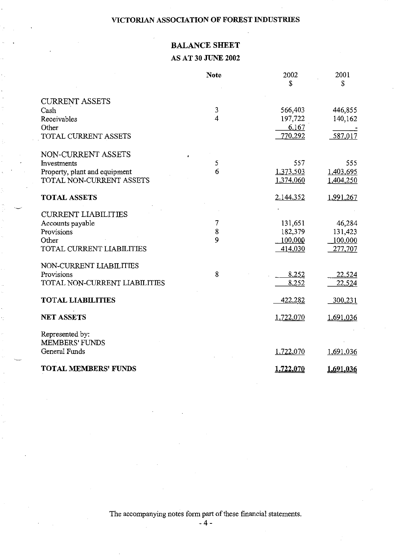## **BALANCE SHEET**

## **AS AT 30 JUNE 2002**

|                                          | <b>Note</b>             | 2002<br>S | 2001<br>\$        |
|------------------------------------------|-------------------------|-----------|-------------------|
| <b>CURRENT ASSETS</b>                    |                         |           |                   |
| Cash                                     | $\mathbf{3}$            | 566,403   | 446,855           |
| Receivables                              | $\overline{\mathbf{4}}$ | 197,722   | 140,162           |
| Other                                    |                         | 6,167     |                   |
| TOTAL CURRENT ASSETS                     |                         | 770,292   | 587,017           |
| NON-CURRENT ASSETS                       |                         |           |                   |
| Investments                              | 5                       | 557       | 555               |
| Property, plant and equipment            | 6                       | 1,373,503 | 1,403,695         |
| TOTAL NON-CURRENT ASSETS                 |                         | 1,374,060 | 1,404,250         |
| <b>TOTAL ASSETS</b>                      |                         | 2,144,352 | 1,991,267         |
|                                          |                         |           |                   |
| <b>CURRENT LIABILITIES</b>               | 7                       | 131,651   |                   |
| Accounts payable<br>Provisions           | 8                       | 182,379   | 46,284<br>131,423 |
| Other                                    | 9                       | 100,000   | 100,000           |
| TOTAL CURRENT LIABILITIES                |                         | 414,030   | 277,707           |
| NON-CURRENT LIABILITIES                  |                         |           |                   |
| Provisions                               | 8                       | 8,252     | 22,524            |
| TOTAL NON-CURRENT LIABILITIES            |                         | 8,252     | 22,524            |
| <b>TOTAL LIABILITIES</b>                 |                         | 422,282   | 300,231           |
| <b>NET ASSETS</b>                        |                         | 1,722,070 | 1,691,036         |
|                                          |                         |           |                   |
| Represented by:<br><b>MEMBERS' FUNDS</b> |                         |           |                   |
| General Funds                            |                         | 1,722,070 | 1,691,036         |
|                                          |                         |           |                   |
| <b>TOTAL MEMBERS' FUNDS</b>              |                         | 1,722,070 | 1,691,036         |

The accompanying notes form part of these financial statements.

**-4-**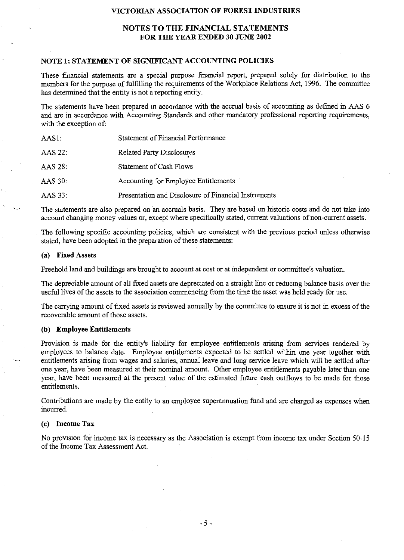#### **NOTES TO THE FINANCIAL STATEMENTS FOR THE YEAR ENDED 30 JUNE 2002**

#### **NOTE 1: STATEMENT OF SIGNIFICANT ACCOUNTING POLICIES**

These financial statements are a special purpose financial report, prepared solely for distribution to the members for the purpose of fulfilling the requirements of the Workplace Relations Act, 1996. The committee has determined that the entity is not a reporting entity.

The statements have been prepared in accordance with the accrual basis of accounting as defmed in AAS 6 and are in accordance with Accounting Standards and other mandatory professional reporting requirements, with the exception of:

| AAS1:   | Statement of Financial Performance                   |
|---------|------------------------------------------------------|
| AAS 22: | Related Party Disclosures                            |
| AAS 28: | Statement of Cash Flows                              |
| AAS 30: | Accounting for Employee Entitlements                 |
| AAS 33: | Presentation and Disclosure of Financial Instruments |

The statements are also prepared on an accruals basis. They are based on historic costs and do not take into account changing money values or, except where specifically stated, current valuations of non-current assets.

The following specific accounting policies, which are consistent with the previous period unless otherwise stated, have been adopted in the preparation of these statements:

#### **(a) Fixed Assets**

Freehold land and buildings are brought to account at cost or at independent or committee's valuation.

The depreciable amount of all fixed assets are depreciated on a straight line or reducing balance basis over the useful lives of the assets to the association commencing from the time the asset was held ready for use.

The carrying amount of fixed assets is reviewed annually by the committee to ensure it is not in excess of the recoverable amount of those assets.

#### **(b) Employee Entitlements**

Provision is made for the entity's liability for employee entitlements arising from services rendered by employees to balance date. Employee entitlements expected to be settled within one year together with entitlements arising from wages and salaries, annual leave and long service leave which will be settled after one year, have been measured at their nominal amount. Other employee entitlements payable later than one year, have been measured at the present value of the estimated future cash outflows to be made for those entitlements.

Contributions are made by the entity to an employee superannuation fund and are charged as expenses when incurred.

#### **(c) Income Tax**

No provision for income tax is necessary as the Association is exempt from income tax under Section 50-15 of the Income Tax Assessment Act.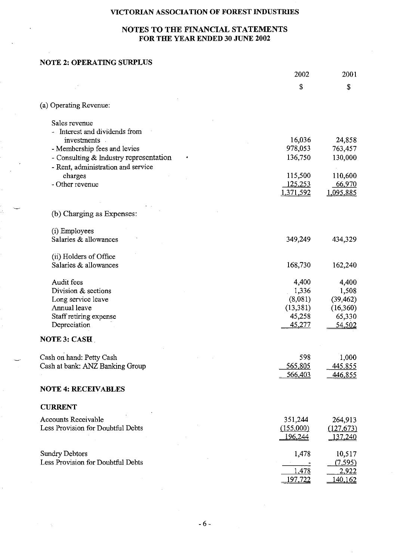## **NOTES TO THE FINANCIAL STATEMENTS FOR THE YEAR ENDED 30 JUNE 2002**

## **NOTE 2: OPERATING SURPLUS**

|                                           | 2002             | 2001               |
|-------------------------------------------|------------------|--------------------|
|                                           | \$               | \$                 |
| (a) Operating Revenue:                    |                  |                    |
| Sales revenue                             |                  |                    |
| - Interest and dividends from             |                  |                    |
| investments                               | 16,036           | 24,858             |
| - Membership fees and levies              | 978,053          | 763,457            |
| - Consulting & Industry representation    | 136,750          | 130,000            |
| - Rent, administration and service        |                  |                    |
| charges                                   | 115,500          | 110,600            |
| - Other revenue                           | 125,253          | 66,970             |
|                                           | 1,371,592        | 1,095,885          |
| (b) Charging as Expenses:                 |                  |                    |
|                                           |                  |                    |
| (i) Employees                             |                  |                    |
| Salaries & allowances                     | 349,249          | 434,329            |
| (ii) Holders of Office                    |                  |                    |
| Salaries & allowances                     | 168,730          | 162,240            |
|                                           |                  |                    |
| Audit fees                                | 4,400            | 4,400              |
| Division & sections<br>Long service leave | 1,336<br>(8,081) | 1,508<br>(39, 462) |
| Annual leave                              | (13, 381)        | (16, 360)          |
| Staff retiring expense                    | 45,258           | 65,330             |
| Depreciation                              | <u>45.277</u>    | 54,502             |
|                                           |                  |                    |
| <b>NOTE 3: CASH</b>                       |                  |                    |
| Cash on hand: Petty Cash                  | 598              | 1,000              |
| Cash at bank: ANZ Banking Group           | 565,805          | 445,855            |
|                                           | 566,403          | 446,855            |
| <b>NOTE 4: RECEIVABLES</b>                |                  |                    |
| <b>CURRENT</b>                            |                  |                    |
|                                           |                  |                    |
| Accounts Receivable                       | 351,244          | 264,913            |
| Less Provision for Doubtful Debts         | (155,000)        | (127, 673)         |
|                                           | 196,244          | 137,240            |
| <b>Sundry Debtors</b>                     | 1,478            | 10,517             |
| Less Provision for Doubtful Debts         |                  | (7, 595)           |
|                                           | 1,478            | 2,922              |
|                                           | 197,722          | 140,162            |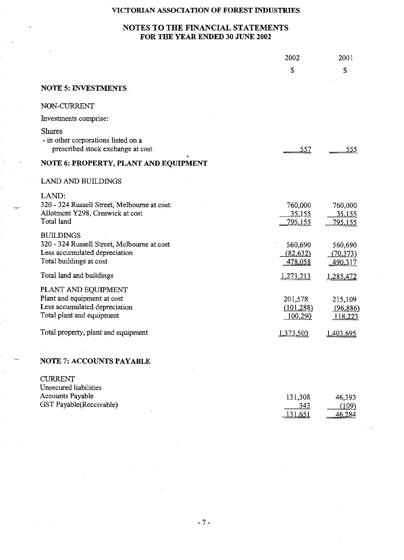## **NOTES TO THE FINANCIAL STATEMENTS FOR THE YEAR ENDED 30 JUNE 2002**

|                                                                                                                             | 2002                                | 2001                                |
|-----------------------------------------------------------------------------------------------------------------------------|-------------------------------------|-------------------------------------|
|                                                                                                                             | \$                                  | \$                                  |
| <b>NOTE 5: INVESTMENTS</b>                                                                                                  |                                     |                                     |
| NON-CURRENT                                                                                                                 |                                     |                                     |
| Investments comprise:                                                                                                       |                                     |                                     |
| <b>Shares</b><br>- in other corporations listed on a<br>prescribed stock exchange at cost                                   | 557                                 | 555                                 |
| NOTE 6: PROPERTY, PLANT AND EQUIPMENT                                                                                       |                                     |                                     |
| <b>LAND AND BUILDINGS</b>                                                                                                   |                                     |                                     |
| LAND:<br>320 - 324 Russell Street, Melbourne at cost:<br>Allotment Y298, Creswick at cost<br>Total land                     | 760,000<br>35,155<br><u>795,155</u> | 760,000<br>35,155<br><u>795,155</u> |
| <b>BUILDINGS</b><br>320 - 324 Russell Street, Melbourne at cost<br>Less accumulated depreciation<br>Total buildings at cost | 560,690<br>(82, 632)<br>478,058     | 560,690<br>(70, 373)<br>490,317     |
| Total land and buildings                                                                                                    | 1,273,213                           | 1,285,472                           |
| PLANT AND EQUIPMENT<br>Plant and equipment at cost<br>Less accumulated depreciation<br>Total plant and equipment            | 201,578<br>(101, 288)<br>100,290    | 215,109<br>(96,886)<br>118,223      |
| Total property, plant and equipment                                                                                         | <u>1,373,503</u>                    | 1,403,695                           |
|                                                                                                                             |                                     |                                     |
| <b>NOTE 7: ACCOUNTS PAYABLE</b>                                                                                             |                                     |                                     |
| <b>CURRENT</b><br>ΥΤ.<br>.                                                                                                  |                                     |                                     |

| UNSCULTURE HAUTHLES     |                 |               |
|-------------------------|-----------------|---------------|
| <b>Accounts Payable</b> | 131.308         | 46,393        |
| GST Payable(Receivable) | 343             | (109)         |
|                         | <u> 131,651</u> | <u>46,284</u> |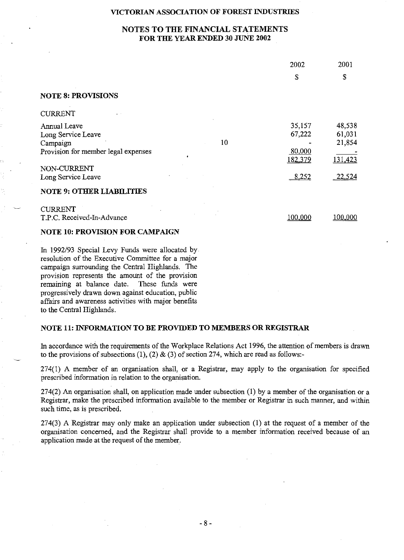## **NOTES TO THE FINANCIAL STATEMENTS FOR THE YEAR ENDED 30 JUNE 2002**

|                                        | 2002           | 2001    |
|----------------------------------------|----------------|---------|
|                                        | S              | \$      |
| <b>NOTE 8: PROVISIONS</b>              |                |         |
| <b>CURRENT</b>                         |                |         |
| Annual Leave                           | 35,157         | 48,538  |
| Long Service Leave                     | 67,222         | 61,031  |
| 10<br>Campaign                         |                | 21,854  |
| Provision for member legal expenses    | 80,000         |         |
|                                        | <u>182,379</u> | 131,423 |
| NON-CURRENT                            |                |         |
| Long Service Leave                     | <u>8,252</u>   | 22,524  |
| <b>NOTE 9: OTHER LIABILITIES</b>       |                |         |
| <b>CURRENT</b>                         |                |         |
| T.P.C. Received-In-Advance             | <u>100,000</u> | 100,000 |
| <b>NOTE 10: PROVISION FOR CAMPAIGN</b> |                |         |

In 1992/93 Special Levy Funds were allocated by resolution of the Executive Committee for a major campaign surrounding the Central Highlands. The provision represents the amount of the provision remaining at balance date. These funds were progressively drawn down against education, public affairs and awareness activities with major benefits to the Central Highlands.

## **NOTE 11: INFORMATION TO BE PROVIDED TO MEMBERS OR REGISTRAR**

In accordance with the requirements of the Workplace Relations Act 1996, the attention of members is drawn to the provisions of subsections (1), (2) & (3) of section 274, which are read as follows:-

274(1) A member of an organisation shall, or a Registrar, may apply to the organisation for specified prescribed information in relation to the organisation.

 $274(2)$  An organisation shall, on application made under subsection (1) by a member of the organisation or a Registrar, make the prescribed information available to the member or Registrar in such manner, and within such time, as is prescribed.

274(3) A Registrar may only make an application under subsection (1) at the request of a member of the organisation concerned, and the Registrar shall provide to a member information received because of an application made at the request of the member.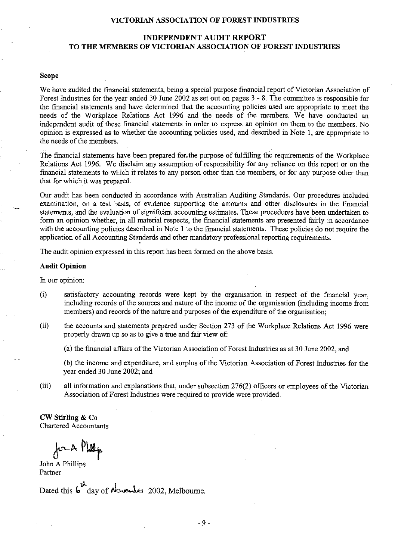## **INDEPENDENT AUDIT REPORT TO THE MEMBERS OF VICTORIAN ASSOCIATION OF FOREST INDUSTRIES**

#### **Scope**

We have audited the financial statements, being a special purpose financial report of Victorian Association of Forest Industries for the year ended 30 June 2002 as set out on pages 3 - 8. The committee is responsible for the financial statements and have determined that the accounting policies used are appropriate to meet the needs of the Workplace Relations Act 1996 and the needs of the members. We have conducted an independent audit of these financial statements in order to express an opinion on them to the members. No opinion is expressed as to whether the accounting policies used, and described in Note 1, are appropriate to the needs of the members.

The financial statements have been prepared for. the purpose of fulfilling the requirements of the Workplace Relations Act 1996. We disclaim any assumption of responsibility for any reliance on this report or on the financial statements to which it relates to any person other than the members, or for any purpose other than that for which it was prepared.

Our audit has been conducted in accordance with Australian Auditing Standards. Our procedures included examination, on a test basis, of evidence supporting the amounts and other disclosures in the financial statements, and the evaluation of significant accounting estimates. These procedures have been undertaken to form an opinion whether, in all material respects, the financial statements are presented fairly in accordance with the accounting policies described in Note 1 to the financial statements. These policies do not require the application of all Accounting Standards and other mandatory professional reporting requirements.

The audit opinion expressed in this report has been formed on the above basis.

#### **Audit Opinion**

In our opinion:

- (i) satisfactory accounting records were kept by the organisation in respect of the fmancial year, including records of the sources and nature of the income of the organisation (including income from members) and records of the nature and purposes of the expenditure of the organisation;
- (ii) the accounts and statements prepared under Section 273 of the Workplace Relations Act 1996 were properly drawn up so as to give a true and fair view of:

(a) the financial affairs of the Victorian Association of Forest Industries as at 30 June 2002, and

(b) the income and expenditure, and surplus of the Victorian Association of Forest Industries for the year ended 30 June 2002; and

(iii) all information and explanations that, under subsection 276{2) officers or employees of the Victorian Association of Forest Industries were required to provide were provided.

**CW Stirling & Co**  Chartered Accountants

for A Philip

John A Phillips Partner

Dated this **6** day of Neverles 2002, Melbourne.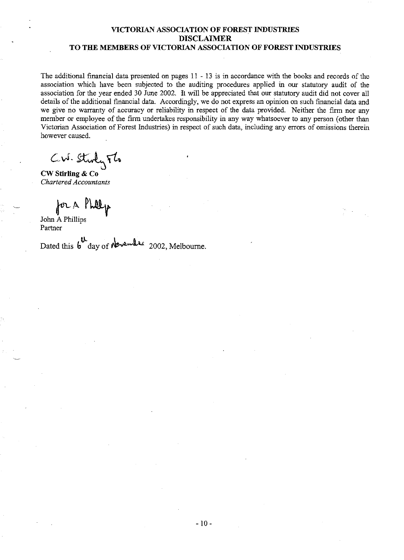## **VICTORIAN ASSOCIATION OF FOREST INDUSTRIES DISCLAIMER TO THE MEMBERS OF VICTORIAN ASSOCIATION OF FOREST INDUSTRIES**

The additional financial data presented on pages 11 - 13 is in accordance with the books and records of the association which have been subjected to the auditing procedures applied in our statutory audit of the association for the year ended 30 June 2002. It will be appreciated that our statutory audit did not cover all details of the additional financial data. Accordingly, we do not express an opinion on such financial data and we give no warranty of accuracy or reliability in respect of the data provided. Neither the finn nor any member or employee of the firm undertakes responsibility in any way whatsoever to any person (other than Victorian Association of Forest Industries) in respect of such data, including any errors of omissions therein however caused.

 $Cw$ . Study  $Fb$ 

**CW Stirling & Co**  *Chartered Accountants* 

for a Phillip

John A Phillips Partner

Dated this **b** day of *N vember* 2002, Melbourne.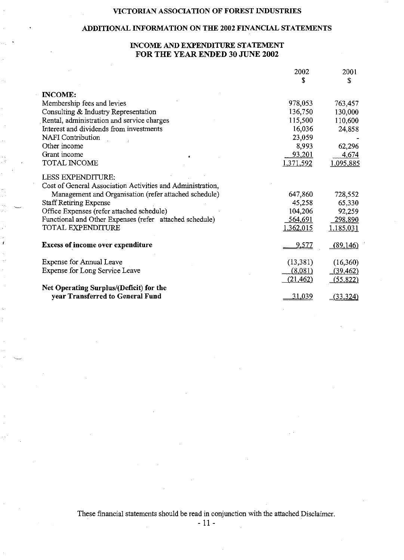## **ADDITIONAL INFORMATION ON THE 2002 FINANCIAL STATEMENTS**

## **INCOME AND EXPENDITURE STATEMENT FOR THE YEAR ENDED 30 JUNE 2002**

|                                                            | 2002          | 2001             |
|------------------------------------------------------------|---------------|------------------|
|                                                            | S             | \$               |
| <b>INCOME:</b>                                             |               |                  |
| Membership fees and levies                                 | 978,053       | 763,457          |
| Consulting & Industry Representation                       | 136,750       | 130,000          |
| Rental, administration and service charges                 | 115,500       | 110,600          |
| Interest and dividends from investments                    | 16,036        | 24,858           |
| <b>NAFI</b> Contribution                                   | 23,059        |                  |
| Other income                                               | 8,993         | 62,296           |
| Grant income                                               | <u>93,201</u> | 4,674            |
| TOTAL INCOME                                               | 1,371,592     | <u>1,095,885</u> |
| LESS EXPENDITURE:                                          |               |                  |
| Cost of General Association Activities and Administration, |               |                  |
| Management and Organisation (refer attached schedule)      | 647,860       | 728,552          |
| <b>Staff Retiring Expense</b>                              | 45,258        | 65,330           |
| Office Expenses (refer attached schedule)                  | 104,206       | 92,259           |
| Functional and Other Expenses (refer attached schedule)    | 564,691       | 298,890          |
| TOTAL EXPENDITURE                                          | 1,362,015     | 1.185,031        |
| <b>Excess of income over expenditure</b>                   | 9,577         | (89,146)         |
| Expense for Annual Leave                                   | (13, 381)     | (16,360)         |
| Expense for Long Service Leave                             | (8,081)       | (39, 462)        |
|                                                            | (21, 462)     | (55, 822)        |
| Net Operating Surplus/(Deficit) for the                    |               |                  |
| year Transferred to General Fund                           | 31,039        | (33, 324)        |

These financial statements should be read in conjunction with the attached Disclaimer.

- 11-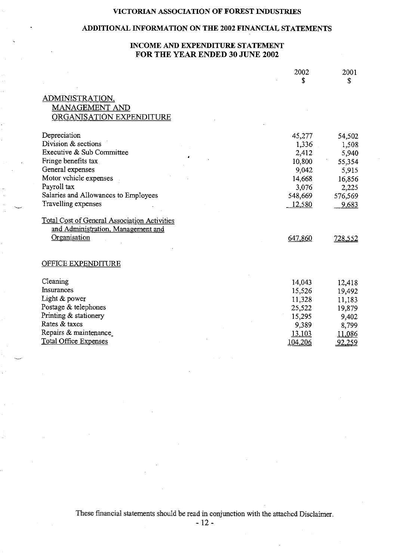## **ADDITIONAL INFORMATION ON THE 2002 FINANCIAL STATEMENTS**

## **INCOME AND EXPENDITURE STATEMENT FOR THE YEAR ENDED 30 JUNE 2002**

|                                                                                                           | 2002           | 2001<br>\$    |
|-----------------------------------------------------------------------------------------------------------|----------------|---------------|
| ADMINISTRATION,<br>MANAGEMENT AND<br>ORGANISATION EXPENDITURE                                             |                |               |
| Depreciation                                                                                              | 45,277         | 54,502        |
| Division & sections                                                                                       | 1,336          | 1,508         |
| Executive & Sub Committee                                                                                 | 2,412          | 5,940         |
| Fringe benefits tax                                                                                       | 10,800         | 55,354        |
| General expenses                                                                                          | 9,042          | 5,915         |
| Motor vehicle expenses                                                                                    | 14,668         | 16,856        |
| Payroll tax                                                                                               | 3,076          | 2,225         |
| Salaries and Allowances to Employees                                                                      | 548,669        | 576,569       |
| Travelling expenses                                                                                       | 12,580         | 9,683         |
| <b>Total Cost of General Association Activities</b><br>and Administration, Management and<br>Organisation | 647,860        | 728,552       |
| OFFICE EXPENDITURE                                                                                        |                |               |
| Cleaning                                                                                                  | 14,043         | 12,418        |
| Insurances                                                                                                | 15,526         | 19,492        |
| Light & power                                                                                             | 11,328         | 11,183        |
| Postage & telephones                                                                                      | 25,522         | 19,879        |
| Printing & stationery                                                                                     | 15,295         | 9,402         |
| Rates & taxes                                                                                             | 9,389          | 8,799         |
| Repairs & maintenance                                                                                     | 13,103         | 11,086        |
| <b>Total Office Expenses</b>                                                                              | <u>104,206</u> | <u>92,259</u> |
|                                                                                                           |                |               |

These financial statements should be read in conjunction with the attached Disclaimer.

- 12-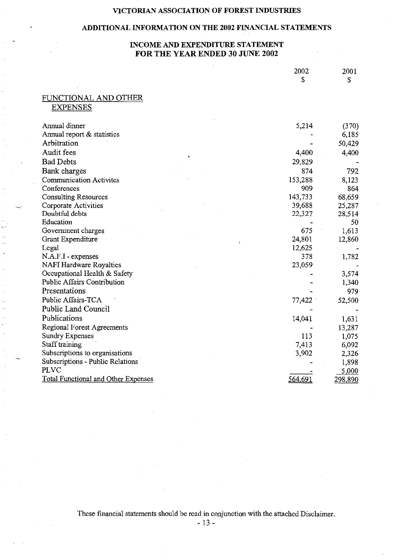## **ADDITIONAL INFORMATION ON THE 2002 FINANCIAL STATEMENTS**

## **INCOME AND EXPENDITURE STATEMENT FOR THE YEAR ENDED 30 JUNE 2002**

|                                            | 2002           | 2001    |
|--------------------------------------------|----------------|---------|
|                                            | S              | \$      |
|                                            |                |         |
| FUNCTIONAL AND OTHER                       |                |         |
| <b>EXPENSES</b>                            |                |         |
|                                            |                |         |
| Annual dinner                              | 5,214          | (370)   |
| Annual report & statistics                 |                | 6,185   |
| Arbitration                                |                | 50,429  |
| Audit fees                                 | 4,400          | 4,400   |
| <b>Bad Debts</b>                           | 29,829         |         |
| Bank charges                               | 874            | 792     |
| <b>Communication Activites</b>             | 153,288        | 8,123   |
| Conferences                                | 909            | 864     |
| <b>Consulting Resources</b>                | 143,733        | 68,659  |
| Corporate Activities                       | 39,688         | 25,287  |
| Doubtful debts                             | 22,327         | 28,514  |
| Education                                  |                | 50      |
| Government charges                         | 675            | 1,613   |
| Grant Expenditure                          | 24,801         | 12,860  |
| Legal                                      | 12,625         |         |
| N.A.F.I - expenses                         | 378            | 1,782   |
| <b>NAFI Hardware Royalties</b>             | 23,059         |         |
| Occupational Health & Safety               |                | 3,574   |
| <b>Public Affairs Contribution</b>         |                | 1,340   |
| Presentations                              |                | 979     |
| Public Affairs-TCA                         | 77,422         | 52,500  |
| Public Land Council                        |                |         |
| Publications                               | 14,041         | 1,631   |
| Regional Forest Agreements                 |                | 13,287  |
| <b>Sundry Expenses</b>                     | 113            | 1,075   |
| Staff training                             | 7,413          | 6,092   |
| Subscriptions to organisations             | 3,902          | 2,326   |
| Subscriptions - Public Relations           |                | 1,898   |
| <b>PLVC</b>                                |                | 5,000   |
| <b>Total Functional and Other Expenses</b> | <u>564,691</u> | 298,890 |

These financial statements should be read in conjunction with the attached Disclaimer.

- 13-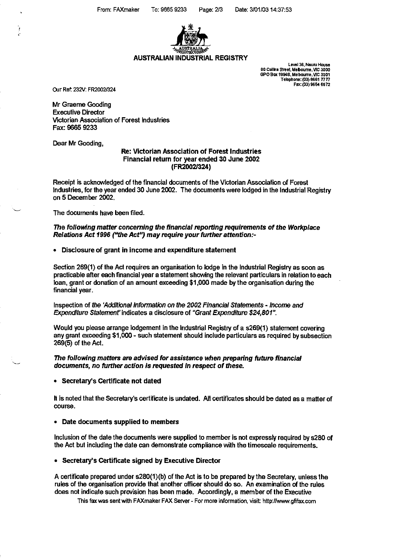

## **AUSTRALIAN INDUSTRIAL REGISTRY**

**Level36, Nauru House 80 Collits street. Meboume, VIC 3000 GPO Box 1994S, Melboume, VIC 3001 Telephone: (03) 8661 7777 Fax: (03) 9654 6672** 

Our Ref. 232V: FR2002/324

Mr Graeme Gooding Executive Director Victorian Association of Forest Industries Fax: 9665 9233

Dear Mr Gooding,

#### Re: Victorian Association of Forest Industries Financial return for year ended 30 June 2002 (FR2002/324)

Receipt is acknowledged of the financial documents of the Victorian Association of Forest Industries, for the year ended 30 June 2002. The documents were lodged in the Industrial Registry on 5 December 2002.

The documents have been filed.

The following matter concerning the financial reporting requirements of the Workplace Relations Act 1996 ("the Act") may require your further attention:-

#### • Disclosure of grant in income and expenditure statement

Section 269(1) of the Act requires an organisation to lodge in the Industrial Registry as soon as practicable after each financial year a statement showing the relevant particulars in relation to each loan, grant or donation of an amount exceeding \$1 ,000 made by the organisation during the financial year.

Inspection of the 'Additional Information on the 2002 Financial statements- Income and Expenditure statement' indicates a disclosure of "Grant Expenditure \$24,801".

Would you please arrange lodgement in the Industrial Registry of a s269(1) statement covering any grant exceeding \$1 ,000- such statement should include particulars as required by subsection 269(5) of the Act.

#### The following matters are advised for assistance when preparing future financial documents, no further action is requested in respect of these.

• Secretary's Certificate not dated

H is noted that the Secretary's certificate is undated. All certificates should be dated as a matter of course.

#### • Date documents supplied to members

Inclusion of the date the documents were supplied to member is not expressly required by s280 of the Act but including the date can demonstrate compliance with the timescale requirements.

#### • Secretary's Certificate signed by Executive Director

A certificate prepared under s280(1)(b) of the Act is to be prepared by the Secretary, unless the rules of the organisation provide that another officer should do so. An examination of the rules does not indicate such provision has been made. Accordingly, a member of the Executive

This fax was sent with FAXmaker FAX Server- For more information, visit http://www.gfifax.com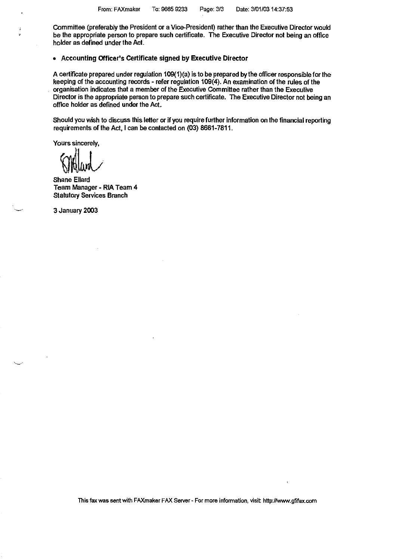Committee (preferably the President or a Vice-President) rather than the Executive Director would be the appropriate person to prepare such certificate. The Executive Director not being an office holder as defined under the Act.

#### • Accounting Officer's Certificate signed by Executive Director

A certificate prepared under regulation 109(1)(a) is to be prepared by the officer responsible for the keeping of the accounting records- refer regulation 109(4). An examination of the rules of the organisation indicates that a member of the Executive Committee rather than the Executive Director is the appropriate person to prepare such certificate. The Executive Director not being an office holder as defined under the Act.

Should you wish to discuss this letter or if you require further information on the financial reporting requirements of the Act, I can be contacted on (03) 8661-7811.

Yours sincerely,

~krV

Shane Ellard Team Manager- RIA Team 4 Statutory Services Branch

3 January 2003

This fax was sent with FAXmaker FAX Server- For more information, visit http://www.gflfax.com